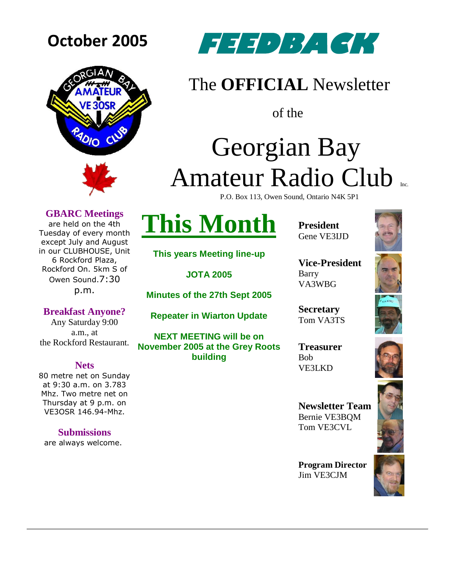



### The **OFFICIAL** Newsletter

of the

# Georgian Bay Amateur Radio Club P.O. Box 113, Owen Sound, Ontario N4K 5P1

**GBARC Meetings**

are held on the 4th Tuesday of every month except July and August in our CLUBHOUSE, Unit 6 Rockford Plaza, Rockford On. 5km S of Owen Sound.7:30

p.m.

**Breakfast Anyone?** Any Saturday 9:00 a.m., at the Rockford Restaurant.

### **Nets**

80 metre net on Sunday at 9:30 a.m. on 3.783 Mhz. Two metre net on Thursday at 9 p.m. on VE3OSR 146.94-Mhz.

**Submissions**

are always welcome.

**This years Meeting line-up**

**This Month**

**JOTA 2005**

**Minutes of the 27th Sept 2005**

**Repeater in Wiarton Update**

**NEXT MEETING will be on November 2005 at the Grey Roots building**

**President** Gene VE3IJD

**Vice-President** Barry VA3WBG

**Secretary** Tom VA3TS

**Treasurer** Bob VE3LKD



**Newsletter Team**  Bernie VE3BQM Tom VE3CVL

**Program Director** Jim VE3CJM

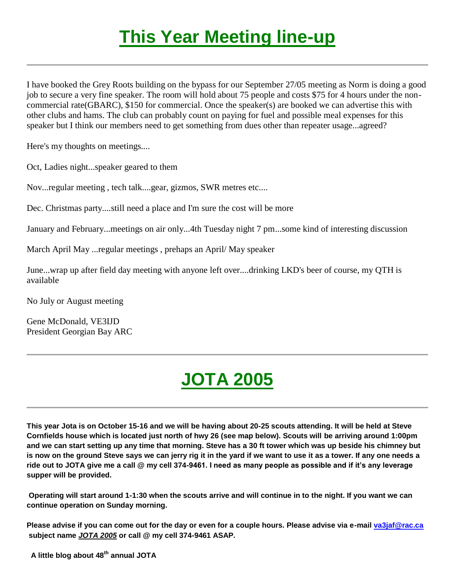# **This Year Meeting line-up**

I have booked the Grey Roots building on the bypass for our September 27/05 meeting as Norm is doing a good job to secure a very fine speaker. The room will hold about 75 people and costs \$75 for 4 hours under the noncommercial rate(GBARC), \$150 for commercial. Once the speaker(s) are booked we can advertise this with other clubs and hams. The club can probably count on paying for fuel and possible meal expenses for this speaker but I think our members need to get something from dues other than repeater usage...agreed?

Here's my thoughts on meetings....

Oct, Ladies night...speaker geared to them

Nov...regular meeting , tech talk....gear, gizmos, SWR metres etc....

Dec. Christmas party....still need a place and I'm sure the cost will be more

January and February...meetings on air only...4th Tuesday night 7 pm...some kind of interesting discussion

March April May ...regular meetings , prehaps an April/ May speaker

June...wrap up after field day meeting with anyone left over....drinking LKD's beer of course, my QTH is available

No July or August meeting

Gene McDonald, VE3IJD President Georgian Bay ARC

## **JOTA 2005**

**This year Jota is on October 15-16 and we will be having about 20-25 scouts attending. It will be held at Steve Cornfields house which is located just north of hwy 26 (see map below). Scouts will be arriving around 1:00pm and we can start setting up any time that morning. Steve has a 30 ft tower which was up beside his chimney but is now on the ground Steve says we can jerry rig it in the yard if we want to use it as a tower. If any one needs a ride out to JOTA give me a call @ my cell 374-9461. I need as many people as possible and if it's any leverage supper will be provided.** 

**Operating will start around 1-1:30 when the scouts arrive and will continue in to the night. If you want we can continue operation on Sunday morning.**

**Please advise if you can come out for the day or even for a couple hours. Please advise via e-mail [va3jaf@rac.ca](mailto:va3jaf@rac.ca) subject name** *JOTA 2005* **or call @ my cell 374-9461 ASAP.** 

 **A little blog about 48th annual JOTA**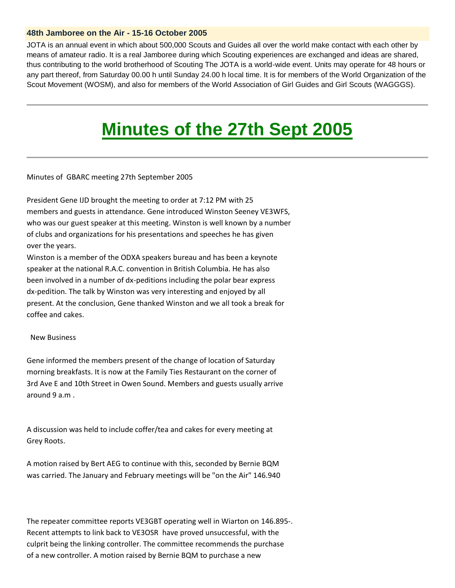#### **48th Jamboree on the Air - 15-16 October 2005**

JOTA is an annual event in which about 500,000 Scouts and Guides all over the world make contact with each other by means of amateur radio. It is a real Jamboree during which Scouting experiences are exchanged and ideas are shared, thus contributing to the world brotherhood of Scouting The JOTA is a world-wide event. Units may operate for 48 hours or any part thereof, from Saturday 00.00 h until Sunday 24.00 h local time. It is for members of the World Organization of the Scout Movement (WOSM), and also for members of the World Association of Girl Guides and Girl Scouts (WAGGGS).

### **Minutes of the 27th Sept 2005**

Minutes of GBARC meeting 27th September 2005

President Gene IJD brought the meeting to order at 7:12 PM with 25 members and guests in attendance. Gene introduced Winston Seeney VE3WFS, who was our guest speaker at this meeting. Winston is well known by a number of clubs and organizations for his presentations and speeches he has given over the years.

Winston is a member of the ODXA speakers bureau and has been a keynote speaker at the national R.A.C. convention in British Columbia. He has also been involved in a number of dx-peditions including the polar bear express dx-pedition. The talk by Winston was very interesting and enjoyed by all present. At the conclusion, Gene thanked Winston and we all took a break for coffee and cakes.

#### New Business

Gene informed the members present of the change of location of Saturday morning breakfasts. It is now at the Family Ties Restaurant on the corner of 3rd Ave E and 10th Street in Owen Sound. Members and guests usually arrive around 9 a.m .

A discussion was held to include coffer/tea and cakes for every meeting at Grey Roots.

A motion raised by Bert AEG to continue with this, seconded by Bernie BQM was carried. The January and February meetings will be "on the Air" 146.940

The repeater committee reports VE3GBT operating well in Wiarton on 146.895-. Recent attempts to link back to VE3OSR have proved unsuccessful, with the culprit being the linking controller. The committee recommends the purchase of a new controller. A motion raised by Bernie BQM to purchase a new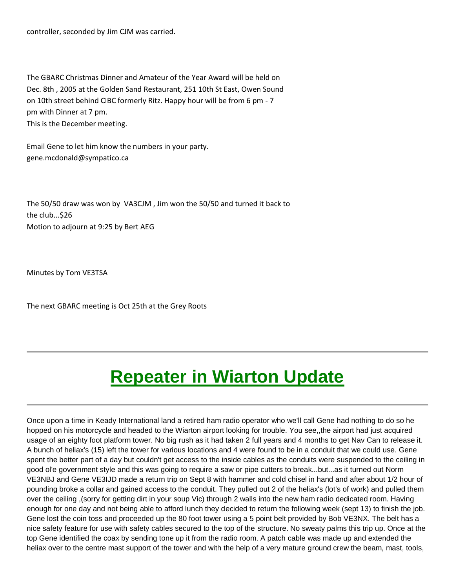controller, seconded by Jim CJM was carried.

The GBARC Christmas Dinner and Amateur of the Year Award will be held on Dec. 8th , 2005 at the Golden Sand Restaurant, 251 10th St East, Owen Sound on 10th street behind CIBC formerly Ritz. Happy hour will be from 6 pm - 7 pm with Dinner at 7 pm. This is the December meeting.

Email Gene to let him know the numbers in your party. gene.mcdonald@sympatico.ca

The 50/50 draw was won by VA3CJM , Jim won the 50/50 and turned it back to the club...\$26 Motion to adjourn at 9:25 by Bert AEG

Minutes by Tom VE3TSA

The next GBARC meeting is Oct 25th at the Grey Roots

### **Repeater in Wiarton Update**

Once upon a time in Keady International land a retired ham radio operator who we'll call Gene had nothing to do so he hopped on his motorcycle and headed to the Wiarton airport looking for trouble. You see,,the airport had just acquired usage of an eighty foot platform tower. No big rush as it had taken 2 full years and 4 months to get Nav Can to release it. A bunch of heliax's (15) left the tower for various locations and 4 were found to be in a conduit that we could use. Gene spent the better part of a day but couldn't get access to the inside cables as the conduits were suspended to the ceiling in good ol'e government style and this was going to require a saw or pipe cutters to break...but...as it turned out Norm VE3NBJ and Gene VE3IJD made a return trip on Sept 8 with hammer and cold chisel in hand and after about 1/2 hour of pounding broke a collar and gained access to the conduit. They pulled out 2 of the heliax's (lot's of work) and pulled them over the ceiling ,(sorry for getting dirt in your soup Vic) through 2 walls into the new ham radio dedicated room. Having enough for one day and not being able to afford lunch they decided to return the following week (sept 13) to finish the job. Gene lost the coin toss and proceeded up the 80 foot tower using a 5 point belt provided by Bob VE3NX. The belt has a nice safety feature for use with safety cables secured to the top of the structure. No sweaty palms this trip up. Once at the top Gene identified the coax by sending tone up it from the radio room. A patch cable was made up and extended the heliax over to the centre mast support of the tower and with the help of a very mature ground crew the beam, mast, tools,